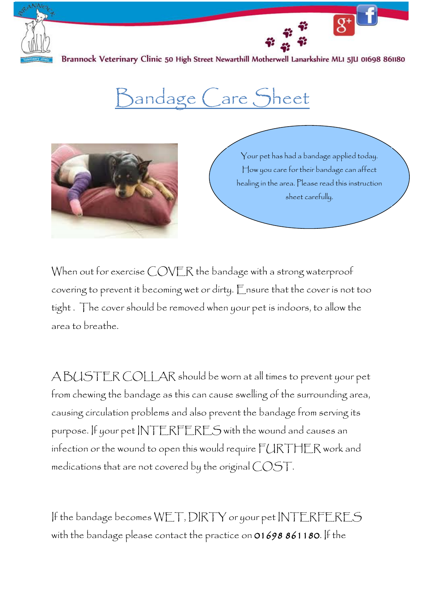

Brannock Veterinary Clinic 50 High Street Newarthill Motherwell Lanarkshire MLI 5JU 01698 861180

## Bandage Care Sheet



Your pet has had a bandage applied today. How you care for their bandage can affect healing in the area. Please read this instruction sheet carefully.

 $\overline{g^+}$ 

When out for exercise COVER the bandage with a strong waterproof covering to prevent it becoming wet or dirty. Ensure that the cover is not too tight . The cover should be removed when your pet is indoors, to allow the area to breathe.

A BUSTER COLLAR should be worn at all times to prevent your pet from chewing the bandage as this can cause swelling of the surrounding area, causing circulation problems and also prevent the bandage from serving its purpose. If your pet INTERFERES with the wound and causes an infection or the wound to open this would require FURTHER work and medications that are not covered by the original COST.

If the bandage becomes WET, DIRTY or your pet INTERFERES with the bandage please contact the practice on 01698 861180. If the